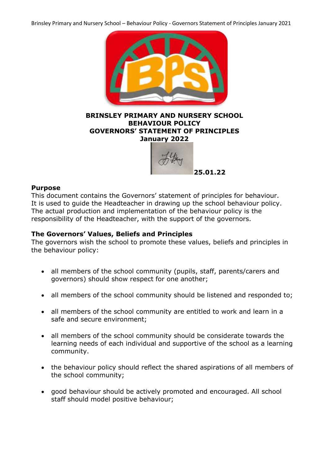Brinsley Primary and Nursery School – Behaviour Policy - Governors Statement of Principles January 2021



### **BRINSLEY PRIMARY AND NURSERY SCHOOL BEHAVIOUR POLICY GOVERNORS' STATEMENT OF PRINCIPLES January 2022**



## **Purpose**

This document contains the Governors' statement of principles for behaviour. It is used to guide the Headteacher in drawing up the school behaviour policy. The actual production and implementation of the behaviour policy is the responsibility of the Headteacher, with the support of the governors.

## **The Governors' Values, Beliefs and Principles**

The governors wish the school to promote these values, beliefs and principles in the behaviour policy:

- all members of the school community (pupils, staff, parents/carers and governors) should show respect for one another;
- all members of the school community should be listened and responded to;
- all members of the school community are entitled to work and learn in a safe and secure environment;
- all members of the school community should be considerate towards the learning needs of each individual and supportive of the school as a learning community.
- the behaviour policy should reflect the shared aspirations of all members of the school community;
- good behaviour should be actively promoted and encouraged. All school staff should model positive behaviour;